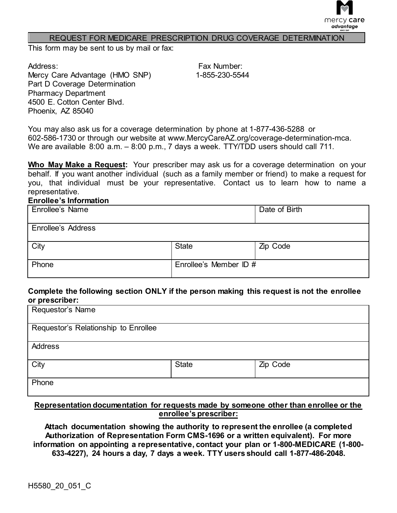

#### REQUEST FOR MEDICARE PRESCRIPTION DRUG COVERAGE DETERMINATION

This form may be sent to us by mail or fax:

Address: Mercy Care Advantage (HMO SNP) Part D Coverage Determination Pharmacy Department 4500 E. Cotton Center Blvd. Phoenix, AZ 85040

Fax Number: 1-855-230-5544

You may also ask us for a coverage determination by phone at 1-877-436-5288 or 602-586-1730 or through our website at www.MercyCareAZ[.org/coverage-determination-mca](http://www.MercyCareAZ.org/coverage-determination-mca). We are available 8:00 a.m. – 8:00 p.m., 7 days a week. TTY/TDD users should call 711.

**Who May Make a Request:** Your prescriber may ask us for a coverage determination on your behalf. If you want another individual (such as a family member or friend) to make a request for you, that individual must be your representative. Contact us to learn how to name a representative.

### **Enrollee's Information**

| Enrollee's Name    |                        | Date of Birth |
|--------------------|------------------------|---------------|
| Enrollee's Address |                        |               |
| City               | <b>State</b>           | Zip Code      |
| Phone              | Enrollee's Member ID # |               |

### **Complete the following section ONLY if the person making this request is not the enrollee or prescriber:**

| Requestor's Name                     |              |          |
|--------------------------------------|--------------|----------|
| Requestor's Relationship to Enrollee |              |          |
| <b>Address</b>                       |              |          |
| City                                 | <b>State</b> | Zip Code |
| Phone                                |              |          |

### **Representation documentation for requests made by someone other than enrollee or the enrollee's prescriber:**

**Attach documentation showing the authority to represent the enrollee (a completed Authorization of Representation Form CMS-1696 or a written equivalent). For more information on appointing a representative, contact your plan or 1-800-MEDICARE (1-800- 633-4227), 24 hours a day, 7 days a week. TTY users should call 1-877-486-2048.**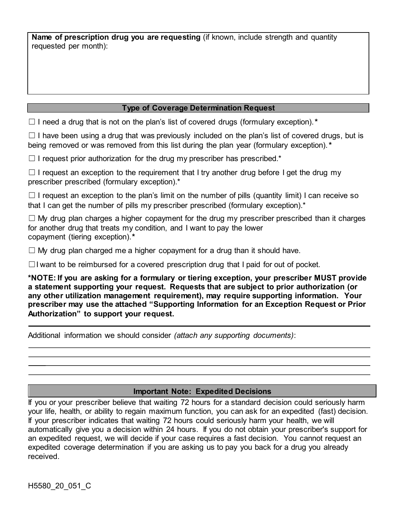**Name of prescription drug you are requesting** (if known, include strength and quantity requested per month):

## **Type of Coverage Determination Request**

☐ I need a drug that is not on the plan's list of covered drugs (formulary exception).*\**

□ I have been using a drug that was previously included on the plan's list of covered drugs, but is being removed or was removed from this list during the plan year (formulary exception).*\**

 $\Box$  I request prior authorization for the drug my prescriber has prescribed.\*

□ I request an exception to the requirement that I try another drug before I get the drug my prescriber prescribed (formulary exception).\*

 $\Box$  I request an exception to the plan's limit on the number of pills (quantity limit) I can receive so that I can get the number of pills my prescriber prescribed (formulary exception).<sup>\*</sup>

 $\Box$  My drug plan charges a higher copayment for the drug my prescriber prescribed than it charges for another drug that treats my condition, and I want to pay the lower copayment (tiering exception).*\**

☐ My drug plan charged me a higher copayment for a drug than it should have.

☐ I want to be reimbursed for a covered prescription drug that I paid for out of pocket.

**\*NOTE: If you are asking for a formulary or tiering exception, your prescriber MUST provide a statement supporting your request. Requests that are subject to prior authorization (or any other utilization management requirement), may require supporting information. Your prescriber may use the attached "Supporting Information for an Exception Request or Prior Authorization" to support your request.**

Additional information we should consider *(attach any supporting documents)*:

### **Important Note: Expedited Decisions**

If you or your prescriber believe that waiting 72 hours for a standard decision could seriously harm your life, health, or ability to regain maximum function, you can ask for an expedited (fast) decision. If your prescriber indicates that waiting 72 hours could seriously harm your health, we will automatically give you a decision within 24 hours. If you do not obtain your prescriber's support for an expedited request, we will decide if your case requires a fast decision. You cannot request an expedited coverage determination if you are asking us to pay you back for a drug you already received.

H5580\_20\_051\_C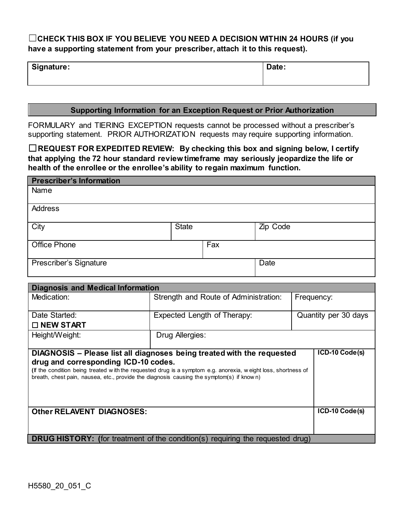# ☐**CHECK THIS BOX IF YOU BELIEVE YOU NEED A DECISION WITHIN 24 HOURS (if you have a supporting statement from your prescriber, attach it to this request).**

| Signature: | Date: |
|------------|-------|
|            |       |

### **Supporting Information for an Exception Request or Prior Authorization**

FORMULARY and TIERING EXCEPTION requests cannot be processed without a prescriber's supporting statement. PRIOR AUTHORIZATION requests may require supporting information.

☐**REQUEST FOR EXPEDITED REVIEW: By checking this box and signing below, I certify that applying the 72 hour standard review timeframe may seriously jeopardize the life or health of the enrollee or the enrollee's ability to regain maximum function.**

| <b>Prescriber's Information</b>                                                                                                                                                                                                                   |                 |                                       |          |                      |
|---------------------------------------------------------------------------------------------------------------------------------------------------------------------------------------------------------------------------------------------------|-----------------|---------------------------------------|----------|----------------------|
| Name                                                                                                                                                                                                                                              |                 |                                       |          |                      |
| <b>Address</b>                                                                                                                                                                                                                                    |                 |                                       |          |                      |
| City                                                                                                                                                                                                                                              | <b>State</b>    |                                       | Zip Code |                      |
| <b>Office Phone</b>                                                                                                                                                                                                                               |                 | Fax                                   |          |                      |
| Prescriber's Signature                                                                                                                                                                                                                            |                 |                                       | Date     |                      |
| <b>Diagnosis and Medical Information</b>                                                                                                                                                                                                          |                 |                                       |          |                      |
| Medication:                                                                                                                                                                                                                                       |                 | Strength and Route of Administration: |          | Frequency:           |
| Date Started:                                                                                                                                                                                                                                     |                 | Expected Length of Therapy:           |          | Quantity per 30 days |
| □ NEW START                                                                                                                                                                                                                                       |                 |                                       |          |                      |
| Height/Weight:                                                                                                                                                                                                                                    | Drug Allergies: |                                       |          |                      |
| DIAGNOSIS - Please list all diagnoses being treated with the requested                                                                                                                                                                            |                 |                                       |          | ICD-10 Code(s)       |
| drug and corresponding ICD-10 codes.<br>(If the condition being treated with the requested drug is a symptom e.g. anorexia, weight loss, shortness of<br>breath, chest pain, nausea, etc., provide the diagnosis causing the symptom(s) if known) |                 |                                       |          |                      |
| <b>Other RELAVENT DIAGNOSES:</b>                                                                                                                                                                                                                  |                 |                                       |          | ICD-10 Code(s)       |
| <b>DRUG HISTORY:</b> (for treatment of the condition(s) requiring the requested drug)                                                                                                                                                             |                 |                                       |          |                      |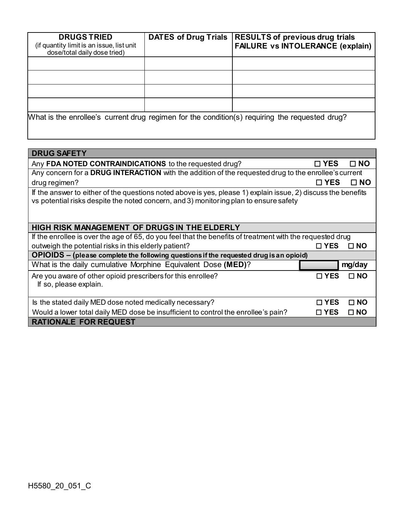| <b>DRUGS TRIED</b><br>(if quantity limit is an issue, list unit<br>dose/total daily dose tried) | <b>DATES of Drug Trials</b> | <b>RESULTS of previous drug trials</b><br><b>FAILURE vs INTOLERANCE (explain)</b> |
|-------------------------------------------------------------------------------------------------|-----------------------------|-----------------------------------------------------------------------------------|
|                                                                                                 |                             |                                                                                   |
|                                                                                                 |                             |                                                                                   |
|                                                                                                 |                             |                                                                                   |
|                                                                                                 |                             |                                                                                   |
| What is the enrollee's current drug regimen for the condition(s) requiring the requested drug?  |                             |                                                                                   |

| <b>DRUG SAFETY</b>                                                                                                                                                                                     |               |              |  |  |
|--------------------------------------------------------------------------------------------------------------------------------------------------------------------------------------------------------|---------------|--------------|--|--|
| Any FDA NOTED CONTRAINDICATIONS to the requested drug?                                                                                                                                                 | □ YES         | $\Box$ NO    |  |  |
| Any concern for a DRUG INTERACTION with the addition of the requested drug to the enrollee's current                                                                                                   |               |              |  |  |
| drug regimen?                                                                                                                                                                                          | □ YES         | □ NO         |  |  |
| If the answer to either of the questions noted above is yes, please 1) explain issue, 2) discuss the benefits<br>vs potential risks despite the noted concern, and 3) monitoring plan to ensure safety |               |              |  |  |
| HIGH RISK MANAGEMENT OF DRUGS IN THE ELDERLY                                                                                                                                                           |               |              |  |  |
| If the enrollee is over the age of 65, do you feel that the benefits of treatment with the requested drug                                                                                              |               |              |  |  |
| outweigh the potential risks in this elderly patient?                                                                                                                                                  | $\Box$ YES    | $\square$ NO |  |  |
| OPIOIDS – (please complete the following questions if the requested drug is an opioid)                                                                                                                 |               |              |  |  |
| What is the daily cumulative Morphine Equivalent Dose (MED)?                                                                                                                                           |               | mg/day       |  |  |
| Are you aware of other opioid prescribers for this enrollee?<br>If so, please explain.                                                                                                                 | $\square$ YES | $\square$ NO |  |  |
| Is the stated daily MED dose noted medically necessary?                                                                                                                                                | $\square$ YES | $\square$ NO |  |  |
| Would a lower total daily MED dose be insufficient to control the enrollee's pain?                                                                                                                     | $\square$ YES | $\Box$ NO    |  |  |
| <b>RATIONALE FOR REQUEST</b>                                                                                                                                                                           |               |              |  |  |